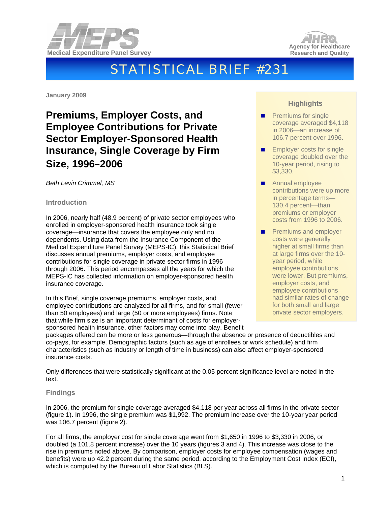



# STATISTICAL BRIEF #231

**January 2009** 

# **Premiums, Employer Costs, and Employee Contributions for Private Sector Employer-Sponsored Health Insurance, Single Coverage by Firm Size, 1996**–**2006**

*Beth Levin Crimmel, MS* 

# **Introduction**

In 2006, nearly half (48.9 percent) of private sector employees who enrolled in employer-sponsored health insurance took single coverage—insurance that covers the employee only and no dependents. Using data from the Insurance Component of the Medical Expenditure Panel Survey (MEPS-IC), this Statistical Brief discusses annual premiums, employer costs, and employee contributions for single coverage in private sector firms in 1996 through 2006. This period encompasses all the years for which the MEPS-IC has collected information on employer-sponsored health insurance coverage.

In this Brief, single coverage premiums, employer costs, and employee contributions are analyzed for all firms, and for small (fewer than 50 employees) and large (50 or more employees) firms. Note that while firm size is an important determinant of costs for employersponsored health insurance, other factors may come into play. Benefit

# **Highlights**

- Premiums for single coverage averaged \$4,118 in 2006—an increase of 106.7 percent over 1996.
- **Employer costs for single** coverage doubled over the 10-year period, rising to \$3,330.
- Annual employee contributions were up more in percentage terms— 130.4 percent—than premiums or employer costs from 1996 to 2006.
- **Premiums and employer** costs were generally higher at small firms than at large firms over the 10 year period, while employee contributions were lower. But premiums, employer costs, and employee contributions had similar rates of change for both small and large private sector employers.

packages offered can be more or less generous—through the absence or presence of deductibles and co-pays, for example. Demographic factors (such as age of enrollees or work schedule) and firm characteristics (such as industry or length of time in business) can also affect employer-sponsored insurance costs.

Only differences that were statistically significant at the 0.05 percent significance level are noted in the text.

# **Findings**

In 2006, the premium for single coverage averaged \$4,118 per year across all firms in the private sector (figure 1). In 1996, the single premium was \$1,992. The premium increase over the 10-year year period was 106.7 percent (figure 2).

For all firms, the employer cost for single coverage went from \$1,650 in 1996 to \$3,330 in 2006, or doubled (a 101.8 percent increase) over the 10 years (figures 3 and 4). This increase was close to the rise in premiums noted above. By comparison, employer costs for employee compensation (wages and benefits) were up 42.2 percent during the same period, according to the Employment Cost Index (ECI), which is computed by the Bureau of Labor Statistics (BLS).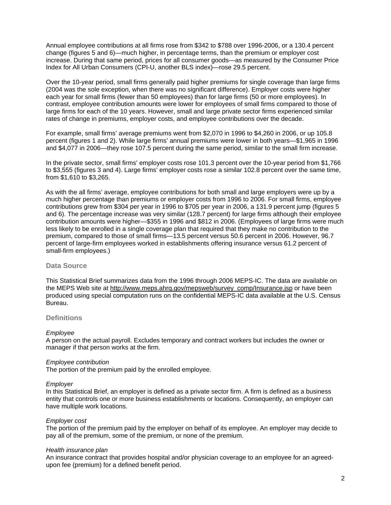Annual employee contributions at all firms rose from \$342 to \$788 over 1996-2006, or a 130.4 percent change (figures 5 and 6)—much higher, in percentage terms, than the premium or employer cost increase. During that same period, prices for all consumer goods—as measured by the Consumer Price Index for All Urban Consumers (CPI-U, another BLS index)—rose 29.5 percent.

Over the 10-year period, small firms generally paid higher premiums for single coverage than large firms (2004 was the sole exception, when there was no significant difference). Employer costs were higher each year for small firms (fewer than 50 employees) than for large firms (50 or more employees). In contrast, employee contribution amounts were lower for employees of small firms compared to those of large firms for each of the 10 years. However, small and large private sector firms experienced similar rates of change in premiums, employer costs, and employee contributions over the decade.

For example, small firms' average premiums went from \$2,070 in 1996 to \$4,260 in 2006, or up 105.8 percent (figures 1 and 2). While large firms' annual premiums were lower in both years—\$1,965 in 1996 and \$4,077 in 2006—they rose 107.5 percent during the same period, similar to the small firm increase.

In the private sector, small firms' employer costs rose 101.3 percent over the 10-year period from \$1,766 to \$3,555 (figures 3 and 4). Large firms' employer costs rose a similar 102.8 percent over the same time, from \$1,610 to \$3,265.

As with the all firms' average, employee contributions for both small and large employers were up by a much higher percentage than premiums or employer costs from 1996 to 2006. For small firms, employee contributions grew from \$304 per year in 1996 to \$705 per year in 2006, a 131.9 percent jump (figures 5 and 6). The percentage increase was very similar (128.7 percent) for large firms although their employee contribution amounts were higher—\$355 in 1996 and \$812 in 2006. (Employees of large firms were much less likely to be enrolled in a single coverage plan that required that they make no contribution to the premium, compared to those of small firms—13.5 percent versus 50.6 percent in 2006. However, 96.7 percent of large-firm employees worked in establishments offering insurance versus 61.2 percent of small-firm employees.)

#### **Data Source**

This Statistical Brief summarizes data from the 1996 through 2006 MEPS-IC. The data are available on the MEPS Web site at [http://www.meps.ahrq.gov/mepsweb/survey\\_comp/Insurance.jsp](http://www.meps.ahrq.gov/mepsweb/survey_comp/Insurance.jsp) or have been produced using special computation runs on the confidential MEPS-IC data available at the U.S. Census Bureau.

#### **Definitions**

#### *Employee*

A person on the actual payroll. Excludes temporary and contract workers but includes the owner or manager if that person works at the firm.

#### *Employee contribution*

The portion of the premium paid by the enrolled employee.

#### *Employer*

In this Statistical Brief, an employer is defined as a private sector firm. A firm is defined as a business entity that controls one or more business establishments or locations. Consequently, an employer can have multiple work locations.

#### *Employer cost*

The portion of the premium paid by the employer on behalf of its employee. An employer may decide to pay all of the premium, some of the premium, or none of the premium.

#### *Health insurance plan*

An insurance contract that provides hospital and/or physician coverage to an employee for an agreedupon fee (premium) for a defined benefit period.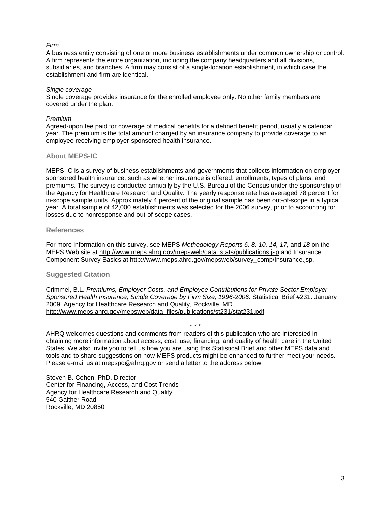# *Firm*

A business entity consisting of one or more business establishments under common ownership or control. A firm represents the entire organization, including the company headquarters and all divisions, subsidiaries, and branches. A firm may consist of a single-location establishment, in which case the establishment and firm are identical.

#### *Single coverage*

Single coverage provides insurance for the enrolled employee only. No other family members are covered under the plan.

### *Premium*

Agreed-upon fee paid for coverage of medical benefits for a defined benefit period, usually a calendar year. The premium is the total amount charged by an insurance company to provide coverage to an employee receiving employer-sponsored health insurance.

# **About MEPS-IC**

MEPS-IC is a survey of business establishments and governments that collects information on employersponsored health insurance, such as whether insurance is offered, enrollments, types of plans, and premiums. The survey is conducted annually by the U.S. Bureau of the Census under the sponsorship of the Agency for Healthcare Research and Quality. The yearly response rate has averaged 78 percent for in-scope sample units. Approximately 4 percent of the original sample has been out-of-scope in a typical year. A total sample of 42,000 establishments was selected for the 2006 survey, prior to accounting for losses due to nonresponse and out-of-scope cases.

# **References**

For more information on this survey, see MEPS *Methodology Reports 6, 8, 10, 14, 17,* and *18* on the MEPS Web site at [http://www.meps.ahrq.gov/mepsweb/data\\_stats/publications.jsp](http://www.meps.ahrq.gov/mepsweb/data_stats/publications.jsp) and Insurance Component Survey Basics at [http://www.meps.ahrq.gov/mepsweb/survey\\_comp/Insurance.jsp](http://www.meps.ahrq.gov/mepsweb/survey_comp/Insurance.jsp).

# **Suggested Citation**

Crimmel, B.L. *Premiums, Employer Costs, and Employee Contributions for Private Sector Employer-Sponsored Health Insurance, Single Coverage by Firm Size, 1996-2006*. Statistical Brief #231. January 2009. Agency for Healthcare Research and Quality, Rockville, MD. [http://www.meps.ahrq.gov/mepsweb/data\\_files/publications/st231/stat231.pdf](http://www.meps.ahrq.gov/mepsweb/data_files/publications/st231/stat231.pdf)

#### \* \* \*

AHRQ welcomes questions and comments from readers of this publication who are interested in obtaining more information about access, cost, use, financing, and quality of health care in the United States. We also invite you to tell us how you are using this Statistical Brief and other MEPS data and tools and to share suggestions on how MEPS products might be enhanced to further meet your needs. Please e-mail us at [mepspd@ahrq.gov](mailto:mepspd@ahrq.gov) or send a letter to the address below:

Steven B. Cohen, PhD, Director Center for Financing, Access, and Cost Trends Agency for Healthcare Research and Quality 540 Gaither Road Rockville, MD 20850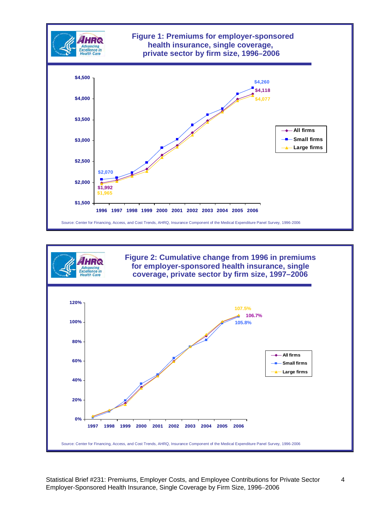

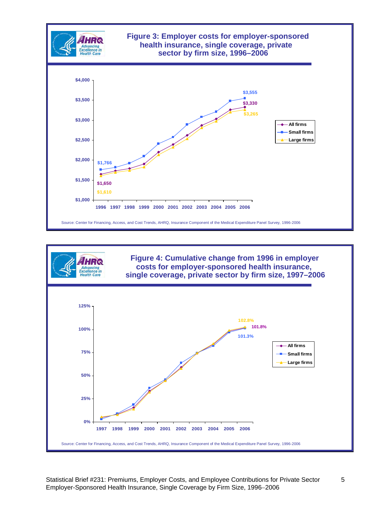